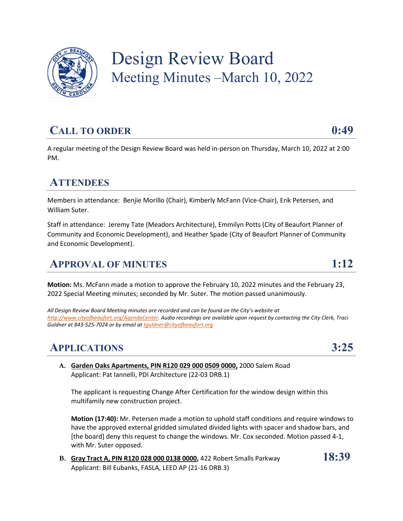

# Design Review Board Meeting Minutes –March 10, 2022

# **CALL TO ORDER 0:49**

A regular meeting of the Design Review Board was held in-person on Thursday, March 10, 2022 at 2:00 PM.

## **ATTENDEES**

Members in attendance: Benjie Morillo (Chair), Kimberly McFann (Vice-Chair), Erik Petersen, and William Suter.

Staff in attendance: Jeremy Tate (Meadors Architecture), Emmilyn Potts (City of Beaufort Planner of Community and Economic Development), and Heather Spade (City of Beaufort Planner of Community and Economic Development).

# **APPROVAL OF MINUTES 1:12**

**Motion:** Ms. McFann made a motion to approve the February 10, 2022 minutes and the February 23, 2022 Special Meeting minutes; seconded by Mr. Suter. The motion passed unanimously.

*All Design Review Board Meeting minutes are recorded and can be found on the City's website at http://www.cityofbeaufort.org/AgendaCenter. Audio recordings are available upon request by contacting the City Clerk, Traci Guldner at 843-525-7024 or by email at tguldner@cityofbeaufort.org*

# **APPLICATIONS 3:25**

**A. Garden Oaks Apartments, PIN R120 029 000 0509 0000,** 2000 Salem Road Applicant: Pat Iannelli, PDI Architecture (22-03 DRB.1)

The applicant is requesting Change After Certification for the window design within this multifamily new construction project.

**Motion (17:40):** Mr. Petersen made a motion to uphold staff conditions and require windows to have the approved external gridded simulated divided lights with spacer and shadow bars, and [the board] deny this request to change the windows. Mr. Cox seconded. Motion passed 4-1, with Mr. Suter opposed.

**B. Gray Tract A, PIN R120 028 000 0138 0000,** 422 Robert Smalls Parkway **18:39** Applicant: Bill Eubanks, FASLA, LEED AP (21-16 DRB.3)

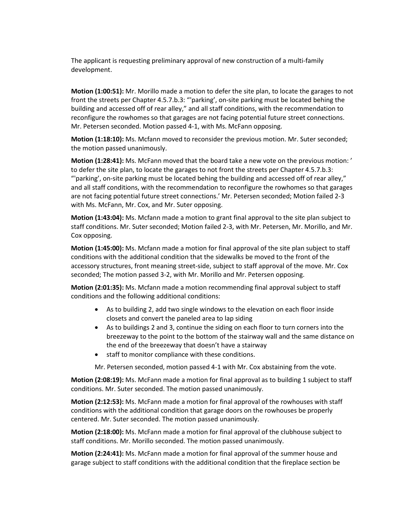The applicant is requesting preliminary approval of new construction of a multi-family development.

**Motion (1:00:51):** Mr. Morillo made a motion to defer the site plan, to locate the garages to not front the streets per Chapter 4.5.7.b.3: "'parking', on-site parking must be located behing the building and accessed off of rear alley," and all staff conditions, with the recommendation to reconfigure the rowhomes so that garages are not facing potential future street connections. Mr. Petersen seconded. Motion passed 4-1, with Ms. McFann opposing.

**Motion (1:18:10):** Ms. Mcfann moved to reconsider the previous motion. Mr. Suter seconded; the motion passed unanimously.

**Motion (1:28:41):** Ms. McFann moved that the board take a new vote on the previous motion: ' to defer the site plan, to locate the garages to not front the streets per Chapter 4.5.7.b.3: "'parking', on-site parking must be located behing the building and accessed off of rear alley," and all staff conditions, with the recommendation to reconfigure the rowhomes so that garages are not facing potential future street connections.' Mr. Petersen seconded; Motion failed 2-3 with Ms. McFann, Mr. Cox, and Mr. Suter opposing.

**Motion (1:43:04):** Ms. Mcfann made a motion to grant final approval to the site plan subject to staff conditions. Mr. Suter seconded; Motion failed 2-3, with Mr. Petersen, Mr. Morillo, and Mr. Cox opposing.

**Motion (1:45:00):** Ms. Mcfann made a motion for final approval of the site plan subject to staff conditions with the additional condition that the sidewalks be moved to the front of the accessory structures, front meaning street-side, subject to staff approval of the move. Mr. Cox seconded; The motion passed 3-2, with Mr. Morillo and Mr. Petersen opposing.

**Motion (2:01:35):** Ms. Mcfann made a motion recommending final approval subject to staff conditions and the following additional conditions:

- As to building 2, add two single windows to the elevation on each floor inside closets and convert the paneled area to lap siding
- As to buildings 2 and 3, continue the siding on each floor to turn corners into the breezeway to the point to the bottom of the stairway wall and the same distance on the end of the breezeway that doesn't have a stairway
- staff to monitor compliance with these conditions.

Mr. Petersen seconded, motion passed 4-1 with Mr. Cox abstaining from the vote.

**Motion (2:08:19):** Ms. McFann made a motion for final approval as to building 1 subject to staff conditions. Mr. Suter seconded. The motion passed unanimously.

**Motion (2:12:53):** Ms. McFann made a motion for final approval of the rowhouses with staff conditions with the additional condition that garage doors on the rowhouses be properly centered. Mr. Suter seconded. The motion passed unanimously.

**Motion (2:18:00):** Ms. McFann made a motion for final approval of the clubhouse subject to staff conditions. Mr. Morillo seconded. The motion passed unanimously.

**Motion (2:24:41):** Ms. McFann made a motion for final approval of the summer house and garage subject to staff conditions with the additional condition that the fireplace section be